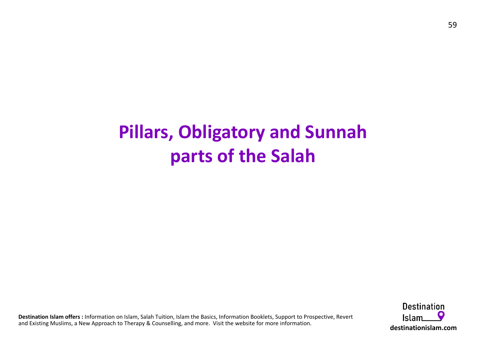## Pillars, Obligatory and Sunnah parts of the Salah

Destination Islam offers : Information on Islam, Salah Tuition, Islam the Basics, Information Booklets, Support to Prospective, Revert and Existing Muslims, a New Approach to Therapy & Counselling, and more. Visit the website for more information.

**Destination** destinationislam.com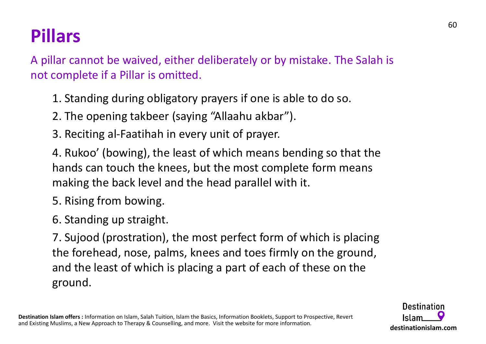# Pillars

A pillar cannot be waived, either deliberately or by mistake. The Salah is not complete if a Pillar is omitted. **lars**<br>lar cannot be waived, either deliberately or by mistake. The Salah is<br>complete if a Pillar is omitted.<br>1. Standing during obligatory prayers if one is able to do so.<br>2. The opening takbeer (saying "Allaahu akbar").<br>

1. Standing during obligatory prayers if one is able to do so.

**lars**<br>
lar cannot be waived, either deliberately or by mistake. The<br>
complete if a Pillar is omitted.<br>
1. Standing during obligatory prayers if one is able to do so.<br>
2. The opening takbeer (saying "Allaahu akbar").<br>
3. R 4. Rukoo' (bowing), the least of which means bending so that the hands can touch the knees, but the most complete form means making the back level and the head parallel with it.

5. Rising from bowing.

6. Standing up straight.

1. Standing during obligatory prayers if one is able to do so.<br>
2. The opening takbeer (saying "Allaahu akbar").<br>
3. Reciting al-Faatihah in every unit of prayer.<br>
4. Rukoo' (bowing), the least of which means bending so th the forehead, nose, palms, knees and toes firmly on the ground, and the least of which is placing a part of each of these on the ground.

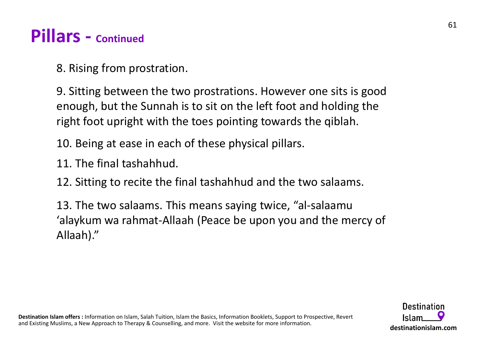## Pillars - Continued

8. Rising from prostration.

9. Sitting between the two prostrations. However one sits is good enough, but the Sunnah is to sit on the left foot and holding the right foot upright with the toes pointing towards the qiblah. 12. Sitting between the two prostrations. However one sits is good<br>12. Sitting between the two prostrations. However one sits is good<br>12. Sitting to tup sum and is to sit on the left foot and holding the<br>12. Being at ease 9. Sitting between the two prostrations. However one sits is good<br>enough, but the Sunnah is to sit on the left foot and holding the<br>right foot upright with the toes pointing towards the qiblah.<br>10. Being at ease in each of

10. Being at ease in each of these physical pillars.

11. The final tashahhud.

13. The two salaams. This means saying twice, "al-salaamu Allaah)."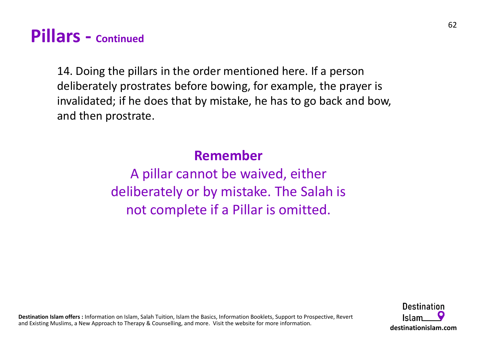## Pillars - Continued

14. Doing the pillars in the order mentioned here. If a person deliberately prostrates before bowing, for example, the prayer is invalidated; if he does that by mistake, he has to go back and bow, and then prostrate.

### Remember

A pillar cannot be waived, either deliberately or by mistake. The Salah is not complete if a Pillar is omitted.

Destination Islam offers : Information on Islam, Salah Tuition, Islam the Basics, Information Booklets, Support to Prospective, Revert and Existing Muslims, a New Approach to Therapy & Counselling, and more. Visit the website for more information.

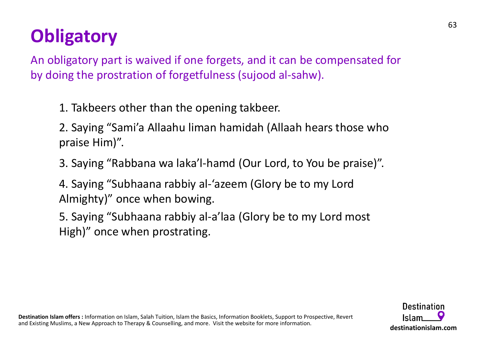# **Obligatory**

An obligatory part is waived if one forgets, and it can be compensated for **Obligatory**<br>An obligatory part is waived if one forgets, and it can be compensated for<br>by doing the prostration of forgetfulness (sujood al-sahw).<br>1. Takbeers other than the opening takbeer. **igatory**<br>
Iligatory part is waived if one forgets, and it can be co<br>
ing the prostration of forgetfulness (sujood al-sahw).<br>
1. Takbeers other than the opening takbeer.<br>
2. Saying "Sami'a Allaahu liman hamidah (Allaah hea ilgatory<br>
1<br>
1<br>
1. Takbeers other than the opening takbeer.<br>
2. Saying "Sami'a Allaahu liman hamidah (Allaah hears those who<br>
1. Takbeers other than the opening takbeer.<br>
2. Saying "Rabbana wa laka'l-hamd (Our Lord, to You **igatory**<br>Iligatory part is waived if one forgets, and it can be compensated for<br>ing the prostration of forgetfulness (sujood al-sahw).<br>1. Takbeers other than the opening takbeer.<br>2. Saying "Sami'a Allaahu liman hamidah (A 1<br>
Iligatory part is waived if one forgets, and it can be compensated for<br>
ing the prostration of forgetfulness (sujood al-sahw).<br>
1. Takbeers other than the opening takbeer.<br>
2. Saying "Sami'a Allaahu liman hamidah (Allaa

praise Him)". Ing the prostration or forgetruiness (sujood al-sanw).<br>1. Takbeers other than the opening takbeer.<br>2. Saying "Sami'a Allaahu liman hamidah (Allaah hears those who<br>praise Him)".<br>3. Saying "Rabbana wa laka'l-hamd (Our Lord,

Almighty)" once when bowing.

High)" once when prostrating.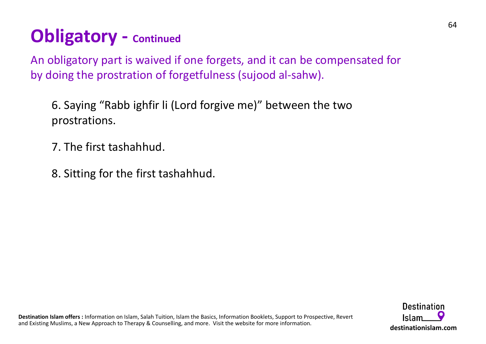## Obligatory - Continued

An obligatory part is waived if one forgets, and it can be compensated for **Obligatory - continued**<br>An obligatory part is waived if one forgets, and it can be compensated for<br>by doing the prostration of forgetfulness (sujood al-sahw).<br>6. Saying "Rabb ighfir li (Lord forgive me)" between the two<br>p **Solution 19. Saying 19. Saying "Continued**<br>Figures of the prostration of forgetfulness (sujood al-sahw).<br>For Saying "Rabb ighfir li (Lord forgive me)" between the two<br>prostrations.<br>T. The first tashahhud.

prostrations.

- 7. The first tashahhud.
- 8. Sitting for the first tashahhud.

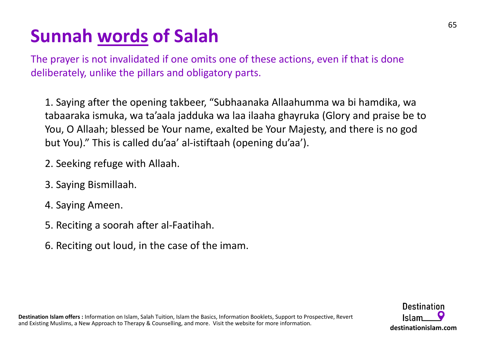**Sunnah <u>words</u> of Salah**<br>The prayer is not invalidated if one omits one of these actions, even<br>deliberately, unlike the pillars and obligatory parts. The prayer is not invalidated if one omits one of these actions, even if that is done deliberately, unlike the pillars and obligatory parts.

**unnah <u>words</u> of Salah**<br>
e prayer is not invalidated if one omits one of these actions, even if that is done<br>
iberately, unlike the pillars and obligatory parts.<br>
1. Saying after the opening takbeer, "Subhaanaka Allaahumm **unnah <u>words</u> of Salah**<br>
e prayer is not invalidated if one omits one of these actions, even if that is done<br>
iberately, unlike the pillars and obligatory parts.<br>
1. Saying after the opening takbeer, "Subhaanaka Allaahumm You, O Allaah; blessed be Your name, exalted be Your Majesty, and there is no god **Jinnah <u>words</u> of Salah**<br>Example prayer is not invalidated if one omits one of these actions, even if that is done<br>iberately, unlike the pillars and obligatory parts.<br>1. Saying after the opening takbeer, "Subhaanaka Allaa 1. Saying after the opening takbeer, "Subhaanaka Allaahumm<br>tabaaraka ismuka, wa ta'aala jadduka wa laa ilaaha ghayruka (<br>You, O Allaah; blessed be Your name, exalted be Your Majesty,<br>but You)." This is called du'aa' al-ist

- 2. Seeking refuge with Allaah.
- 3. Saying Bismillaah.
- 4. Saying Ameen.
- 
- 6. Reciting out loud, in the case of the imam.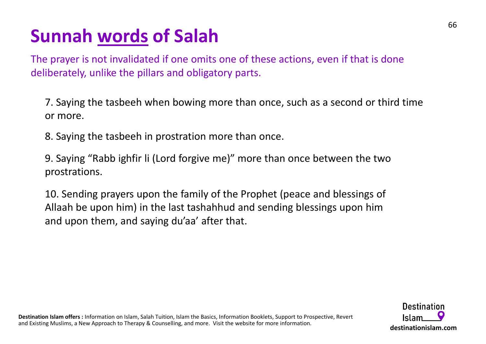**Sunnah <u>words</u> of Salah**<br>The prayer is not invalidated if one omits one of these actions, even<br>deliberately, unlike the pillars and obligatory parts. The prayer is not invalidated if one omits one of these actions, even if that is done deliberately, unlike the pillars and obligatory parts. **UNIMENT WORE STON STON STON STON CONTA CONTA CONTA CONTA CONTA CONTA CONTA CONTA CONTA CONTA CONTA CONTA CONTA CONTA A STATION MORE A STANDA CONTA STANDA CONTA STANDA STANDA STANDA STANDA STANDA STANDA STANDA STANDA STAND** 

**unnah <u>words</u> of Salah**<br>
Pe prayer is not invalidated if one omits one of these actions, even if that is done<br>
iberately, unlike the pillars and obligatory parts.<br>
7. Saying the tasbeeh when bowing more than once, such as or more. **Unnah words of Salah**<br>
E prayer is not invalidated if one omits one of these actions, even if that is done<br>
iberately, unlike the pillars and obligatory parts.<br>
7. Saying the tasbeeh when bowing more than once, such as a

prostrations.

10. Sending prayers upon the family of the Prophet (peace and blessings of The upon the pail are positions and obligatory parts.<br>
T. Saying the tasheeh when bowing more than once, such as a second or third time<br>
or more.<br>
8. Saying the tasheeh in prostration more than once.<br>
9. Saying "Rabb ighfi and upon them, and saying du'aa' after that.

Destination Islam offers : Information on Islam, Salah Tuition, Islam the Basics, Information Booklets, Support to Prospective, Revert and Existing Muslims, a New Approach to Therapy & Counselling, and more. Visit the website for more information.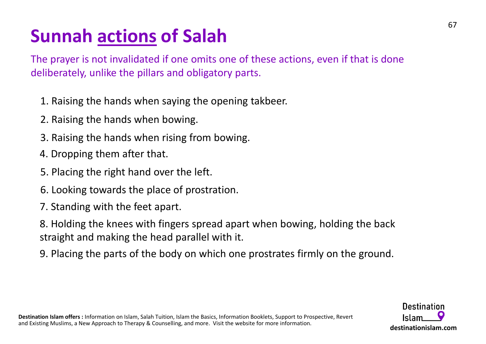**Sunnah <u>actions</u> of Salah**<br>The prayer is not invalidated if one omits one of these actions, even if<br>deliberately, unlike the pillars and obligatory parts. The prayer is not invalidated if one omits one of these actions, even if that is done deliberately, unlike the pillars and obligatory parts.

- 1. Raising the hands when saying the opening takbeer.
- 2. Raising the hands when bowing.
- 3. Raising the hands when rising from bowing.
- 4. Dropping them after that.
- 5. Placing the right hand over the left.
- 6. Looking towards the place of prostration.
- 7. Standing with the feet apart.
- 8. Holding the knees with fingers spread apart when bowing, holding the back straight and making the head parallel with it.
- 9. Placing the parts of the body on which one prostrates firmly on the ground.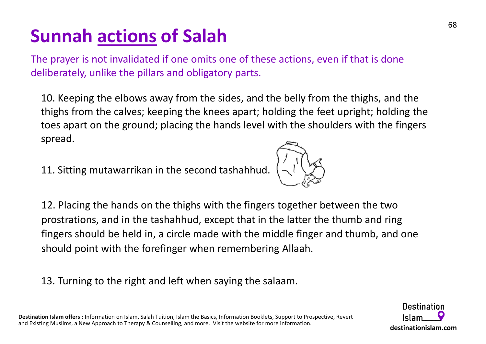**Sunnah <u>actions</u> of Salah**<br>The prayer is not invalidated if one omits one of these actions, even if<br>deliberately, unlike the pillars and obligatory parts. The prayer is not invalidated if one omits one of these actions, even if that is done deliberately, unlike the pillars and obligatory parts.

10. Keeping the elbows away from the sides, and the belly from the thighs, and the thighs from the calves; keeping the knees apart; holding the feet upright; holding the toes apart on the ground; placing the hands level with the shoulders with the fingers spread. 11. Sitting mutawarrikan in the second tashahhud.

12. Placing the hands on the thighs with the fingers together between the two prostrations, and in the tashahhud, except that in the latter the thumb and ring fingers should be held in, a circle made with the middle finger and thumb, and one should point with the forefinger when remembering Allaah.

13. Turning to the right and left when saying the salaam.

**Destination** Islam destinationislam.com